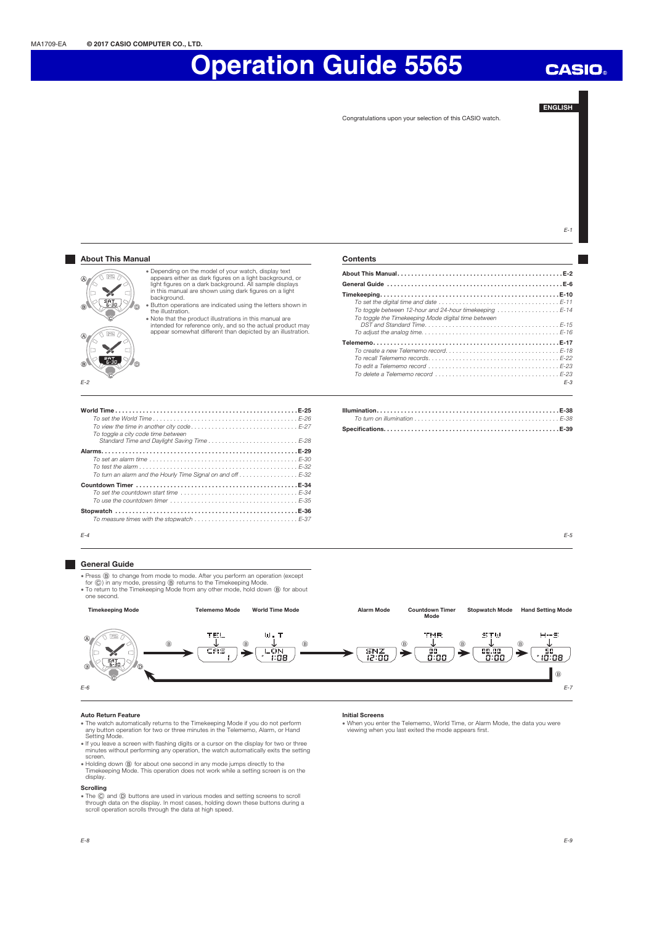#### ENGLISH

Congratulations upon your selection of this CASIO watch.

 $E-1$ **About This Manual Contents** x Depending on the model of your watch, display text appears either as dark figures on a light background, or light figures on a dark background. All sample displays in this manual are shown using dark figures on a light About This Manual . . . . . . . . . . . . . . . . . . . . . . . . . . . . . . . . . . . . . . . . . . . . . . . . E-2  $\widehat{\text{max}}$  $\widehat{\Delta}$ General Guide . . . . . . . . . . . . . . . . . . . . . . . . . . . . . . . . . . . . . . . . . . . . . . . . . . . E-6  $\frac{1}{2}$ h Timekeeping . . . . . . . . . . . . . . . . . . . . . . . . . . . . . . . . . . . . . . . . . . . . . . . . . . . . E-10 background.  $\sqrt{3.30}$ To set the digital time and date . . . . . . . . . . . . . . . . . . . . . . . . . . . . . . . . . . . E-11 To toggle between 12-hour and 24-hour timekeeping . . . . . . . . . . . . . . . . . . E-14 'n x Button operations are indicated using the letters shown in the illustration. x Note that the product illustrations in this manual are To toggle the Timekeeping Mode digital time between DST and Standard Time . . . . . . . . . . . . . . . . . . . . . . . . . . . . . . . . . . . . . . . E-15 To adjust the analog time . . . . . . . . . . . . . . . . . . . . . . . . . . . . . . . . . . . . . . . . E-16 intended for reference only, and so the actual product may appear somewhat different than depicted by an illustration. ne) Telememo . . . . . . . . . . . . . . . . . . . . . . . . . . . . . . . . . . . . . . . . . . . . . . . . . . . . . . E-17 To create a new Telememo record . . . . . . . . . . . . . . . . . . . . . . . . . . . . . . . . . E-18 To recall Telememo records . . . . . . . . . . . . . . . . . . . . . . . . . . . . . . . . . . . . . . E-22  $\overline{.350}$ To edit a Telememo record . . . . . . . . . . . . . . . . . . . . . . . . . . . . . . . . . . . . . . E-23 To delete a Telememo record  $\ldots \ldots \ldots \ldots \ldots \ldots \ldots \ldots \ldots \ldots \ldots \ldots \ldots$ E-2 E-3 World Time . . . . . . . . . . . . . . . . . . . . . . . . . . . . . . . . . . . . . . . . . . . . . . . . . . . . . E-25 Illumination . . . . . . . . . . . . . . . . . . . . . . . . . . . . . . . . . . . . . . . . . . . . . . . . . . . . . E-38 To turn on illumination . . . . . . . . . . . . . . . . . . . . . . . . . . . . . . . . . . . . . . . . . . E-38 To set the World Time . . . . . . . . . . . . . . . . . . . . . . . . . . . . . . . . . . . . . . . . . . E-26 To view the time in another city code . . . . . . . . . . . . . . . . . . . . . . . . . . . . . . . E-27 Specifications. . . . . . . . . . . . . . . . . . . . . . . . . . . . . . . . . . . . . . . . . . . . . . . . . . . E-39 To toggle a city code time between Standard Time and Daylight Saving Time . . . . . . . . . . . . . . . . . . . . . . . . . . E-28 Alarms . . . . . . . . . . . . . . . . . . . . . . . . . . . . . . . . . . . . . . . . . . . . . . . . . . . . . . . . . E-29 To set an alarm time . . . . . . . . . . . . . . . . . . . . . . . . . . . . . . . . . . . . . . . . . . . E-30 To test the alarm . . . . . . . . . . . . . . . . . . . . . . . . . . . . . . . . . . . . . . . . . . . . . . E-32 To turn an alarm and the Hourly Time Signal on and off . . . . . . . . . . . . . . . . . E-32 Countdown Timer . . . . . . . . . . . . . . . . . . . . . . . . . . . . . . . . . . . . . . . . . . . . . . . E-34 To set the countdown start time . . . . . . . . . . . . . . . . . . . . . . . . . . . . . . . . . . E-34 To use the countdown timer . . . . . . . . . . . . . . . . . . . . . . . . . . . . . . . . . . . . . E-35 Stopwatch . . . . . . . . . . . . . . . . . . . . . . . . . . . . . . . . . . . . . . . . . . . . . . . . . . . . . E-36 To measure times with the stopwatch  $\ldots \ldots \ldots \ldots \ldots \ldots \ldots \ldots \ldots \ldots \ldots \in -37$  $F-4$ E-5 General Guide ● Press ⑧ to change from mode to mode. After you perform an operation (except<br>for ⓒ) in any mode, pressing ⑨ returns to the Timekeeping Mode.<br>● To return to the Timekeeping Mode from any other mode, hold down ⑧ for about one second. Timekeeping Mode Telememo Mode World Time Mode Stopwatch Mode Hand Setting Mode Alarm Mode Countdown Timer Mode **TEL**  $\widehat{\text{tr}}$  $W_{\rm B}$  T **TMR** STW  $H - S$ 8 **J** B **J** B 8 **J** B **J** B  $\frac{\text{SNZ}}{\text{R}^2.00}$ ū٥ h  $\overline{1}$ diaa ថេី:០ខ :OR  $\overline{C_{6-30}}$  $\overline{6}$ B E-6 E-7

#### Auto Return Feature

- The watch automatically returns to the Timekeeping Mode if you do not perform<br>any button operation for two or three minutes in the Telememo, Alarm, or Hand<br>Setting Mode.<br>If you leave a screen with flashing digits or a curs
- minutes without performing any operation, the watch automatically exits the setting screen.
- 
- Holding down ⑧ for about one second in any mode jumps directly to the<br>Timekeeping Mode. This operation does not work while a setting screen is on the<br>display.

### Scrolling

E-8

. The  $\ddot{\odot}$  and  $\ddot{\odot}$  buttons are used in various modes and setting screens to scroll through data on the display. In most cases, holding down these buttons during a scroll operation scrolls through the data at high speed.

#### Initial Screens

x When you enter the Telememo, World Time, or Alarm Mode, the data you were viewing when you last exited the mode appears first.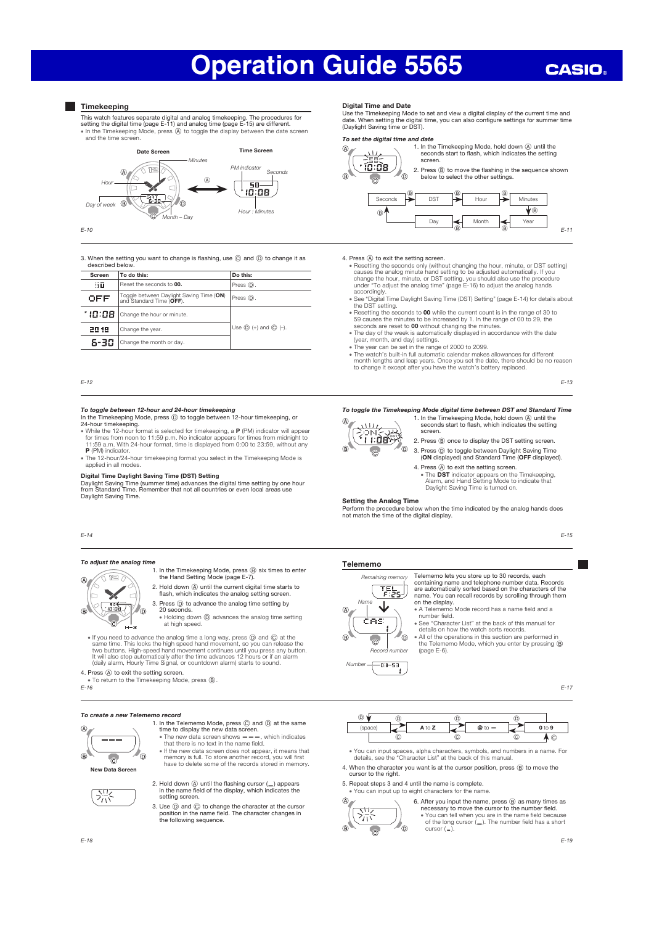## **CASIO**

#### **Timekeeping**

This watch features separate digital and analog timekeeping. The procedures for setting the digital time (page E-11) and analog time (page E-15) are different. · In the Timekeeping Mode, press  $\overline{A}$  to toggle the display between the date screen and the time scre



3. When the setting you want to change is flashing, use  $\copyright$  and  $\copyright$  to change it as n are sone<br>ribed belo

| Screen  | To do this:                                                          | Do this:                     |  |
|---------|----------------------------------------------------------------------|------------------------------|--|
| 50      | Reset the seconds to 00.                                             | Press (D).                   |  |
| OFF     | Toggle between Daylight Saving Time (ON)<br>and Standard Time (OFF). | Press (D).                   |  |
| * 10:08 | Change the hour or minute.                                           |                              |  |
| 2018    | Change the year.                                                     | Use $(D)$ (+) and $(C)$ (-). |  |
| 6-30    | Change the month or day.                                             |                              |  |
|         |                                                                      |                              |  |

E-12

### To toggle between 12-hour and 24-hour timekeeping In the Timekeeping Mode, press D to toggle between 12-hour timekeeping, or

- 24-hour timekeeping.<br>• While the 12-hour format is selected for timekeeping, a **P** (PM) indicator will appear<br>• for times from noon to 11:59 p.m. No indicator appears for times from midnight to<br>• 11:59 a.m. With 24-hour fo P (PM) indicator.
- . The 12-hour/24-hour timekeeping format you select in the Timekeeping Mode is applied in all modes

#### Digital Time Daylight Saving Time (DST) Setting

Daylight Saving Time (summer time) advances the digital time setting by one hour from Standard Time. Remember that not all countries or even local areas use Daylight Saving Time.

#### E-14

#### To adjust the analog time ส 127

- 1. In the Timekeeping Mode, press  $\circledB$  six times to enter the Hand Setting Mode (page E-7). 2. Hold down (A) until the current digital time starts to
- lo flash, which indicates the analog setting screen.  $\overline{\bigcup_{10:00}^{\mathsf{in}}}$  $\circ$ 7<sub>m</sub>

н÷э

- 3. Press  $\textcircled{\tiny{D}}$  to advance the analog time setting by 20 seconds.<br>• Holding down **(D** advances the analog time setting at high speed.
- If you need to advance the analog time a long way, press  $\overline{S}$  on all  $\overline{Q}$  at the same time. This locks the high speed hand movement, so you can release the two buttons. High-speed hand movement continues until y

4. Press  $\textcircled{A}$  to exit the setting screen. x To return to the Timekeeping Mode, press B.

E-16

#### To create a new Telememo record



淙

- 1. In the Telememo Mode, press  $\textcircled{c}$  and  $\textcircled{d}$  at the same time to display the new data screen.<br>• The new data screen shows ——, which indicates that there is no text in the name field.
- If the new data screen does not appear, it means that
- memory is full. To store another record, you will first have to delete some of the records stored in memory.
- 2. Hold down  $\overline{A}$  until the flashing cursor ( $\overline{A}$ ) appears in the name field of the display, which indicates the setting screen.
- 3. Use D and C to change the character at the cursor position in the name field. The character changes in the following sequence.

#### Digital Time and Date

Use the Timekeeping Mode to set and view a digital display of the current time and date. When setting the digital time, you can also configure settings for summer time (Daylight Saving time or DST).

#### To set the digital time and date



1. In the Timekeeping Mode, hold down (A) until the seconds start to flash, which indicates the setting 2. Press  $\circledR$  to move the flashing in the sequence shown



- 4. Press  $\circledA$  to exit the setting screen.<br>
 Resetting the hour, minute, or DST setting<br>  $\circ$  assesting the seconds only (without changing the hour, minute, or DST setting)<br>
causes the analog minute hand setting to be a accordingly
	- x See "Digital Time Daylight Saving Time (DST) Setting" (page E-14) for details about the DST setting.
	- Resetting the seconds to **00** while the current count is in the range of 30 to 59 causes the minutes to be increased by 1. In the range of 00 to 29, the seconds are reset to **00** without changing the minutes.<br>
	 The day
	-
	-
- The year can be set in the range of 2000 to 2099.<br>The watch's built-in full automatic calendar makes allowances for different<br>month lengths and leap years. Once you set the date, there should be no reason<br>to change it exce

E-13

#### To toggle the Timekeeping Mode digital time between DST and Standard Time



- 1. In the Timekeeping Mode, hold down (A) until the seconds start to flash, which indicates the setting screen 2. Press  $\circledB$  once to display the DST setting screen.
- 3. Press  $\textcircled{D}$  to toggle between Daylight Saving Time (ON displayed) and Standard Time (OFF displayed).
- 4. Press  $\overline{\varphi}$  to exit the setting screen. • The DST indicator appears on the Timekeeping.<br>Alarm, and Hand Setting Mode to indicate that<br>Daylight Saving Time is turned on.

#### Setting the Analog Time

O.

Perform the procedure below when the time indicated by the analog hands does not match the time of the digital display.

#### Telememo



∈ua-sa

Number

- Telememo lets you store up to 30 records, each containing name and telephone number data. Records are automatically sorted based on the characters of the name. You can recall records by scrolling through them on the display.
- x A Telememo Mode record has a name field and a number field. x See "Character List" at the back of this manual for
- details on how the watch sorts records.
- All of the operations in this section are performed in<br>the Telememo Mode, which you enter by pressing **®** All of the or<br>the Teleme<br>(page E-6).

E-17

E-15



- x You can input spaces, alpha characters, symbols, and numbers in a name. For details, see the "Character List" at the back of this manual.
- 4. When the character you want is at the cursor position, press  $\circledB$  to move the cursor to the right.
- 5. Repeat steps 3 and 4 until the name is complete.
- x You can input up to eight characters for the name.



6. After you input the name, press B as many times as necessary to move the cursor to the number field. x You can tell when you are in the name field because of the long cursor (—). The number field has a short cursor ( – ).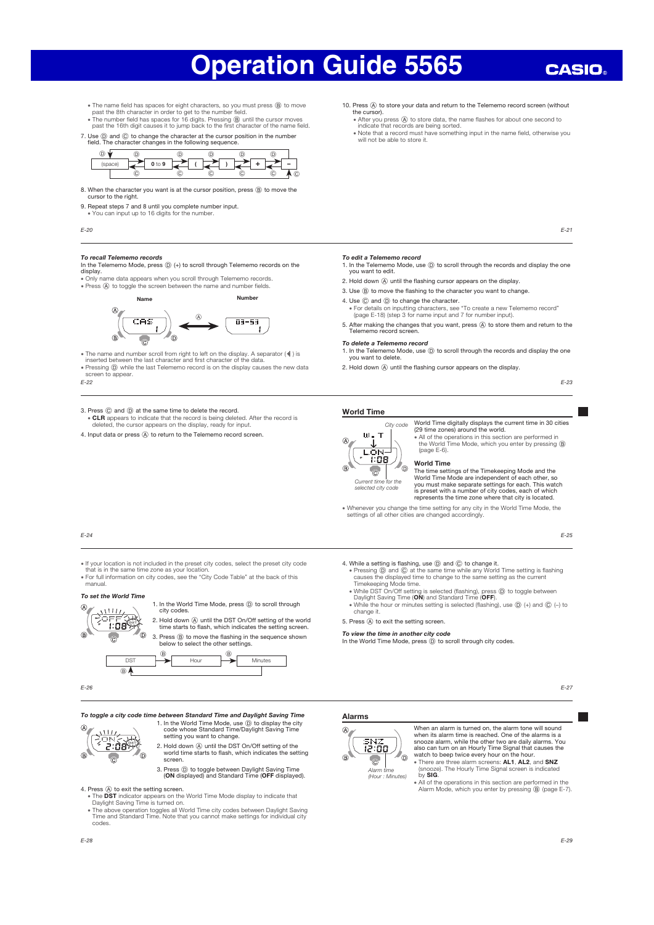## **CASIO**

- The name field has spaces for eight characters, so you must press (B) to move
- past the 8th character in order to get to the number field.<br>• The number field has spaces for 16 digits. Pressing (@ until the cursor moves<br>past the 16th digit causes it to jump back to the first character of the name fiel
- 7. Use  $\circledD$  and  $\circledC$  to change the character at the cursor position in the number field. The character changes in the following sequence.



- 8. When the character you want is at the cursor position, press (B) to move the cursor to the right.
- 9. Repeat steps 7 and 8 until you complete number input. x You can input up to 16 digits for the number.
- E-20

**To recall Telememo records**<br>In the Telememo Mode, press ⓒ (+) to scroll through Telememo records on the<br>display.

x Only name data appears when you scroll through Telememo records. • Press  $\overline{a}$  to toggle the screen between the name and number fields.



• The name and number scroll from right to left on the display. A separator (◀ ) is<br>inserted between the last character and first character of the data.<br>• Pressing ① while the last Telememo record is on the display causes

screen to appear

E-22

#### 3. Press  $\copyright$  and  $\copyright$  at the same time to delete the record. x CLR appears to indicate that the record is being deleted. After the record is deleted, the cursor appears on the display, ready for input.

4. Input data or press  $\circledA$  to return to the Telememo record screen.

- 10. Press (A) to store your data and return to the Telememo record screen (without the cursor).
	- After you press @ to store data, the name flashes for about one second to<br>indicate that records are being sorted.<br>• Note that a record must have something input in the name field, otherwise you
	- will not be able to store it.
		- E-21

- **To edit a Telememo record**<br>1. In the Telememo Mode, use ⓒ to scroll through the records and display the one<br>you want to edit.
- 2. Hold down  $\overline{A}$  until the flashing cursor appears on the display.
- 3. Use  $\overline{B}$  to move the flashing to the character you want to change.
- 4. Use  $\copyright$  and  $\copyright$  to change the character.
- x For details on inputting characters, see "To create a new Telememo record" (page E-18) (step 3 for name input and 7 for number input).
- 5. After making the changes that you want, press (A) to store them and return to the Telememo record screen.
- To delete a Telememo record
- 1. In the Telememo Mode, use  $\textcircled{D}$  to scroll through the records and display the one you want to delete. 2. Hold down  $\widehat{A}$  until the flashing cursor appears on the display.
	-

E-23

#### World Time



Current time for the selected city code

 $\circ$ 

World Time digitally displays the current time in 30 cities (29 time zones) around the world. • All of the operations in this section are performed in the World Time Mode, which you enter by pressing **B** Greenvoltal

#### World Time

The time settings of the Timekeeping Mode and the World Time Mode are independent of each other, so you must make separate settings for each. This watch is preset with a number of city codes, each of which represents the time zone where that city is located.

x Whenever you change the time setting for any city in the World Time Mode, the settings of all other cities are changed accordingly.

#### E-25

E-27

E-24

- x If your location is not included in the preset city codes, select the preset city code that is in the same time zone as your location. x For full information on city codes, see the "City Code Table" at the back of this
- manual.

#### To set the World Time



1. In the World Time Mode, press  $\textcircled{\small{D}}$  to scroll through city codes. 2. Hold down  $\overline{A}$  until the DST On/Off setting of the world

time starts to flash, which indicates the setting screen.



E-26

To toggle a city code time between Standard Time and Daylight Saving Time



1. In the World Time Mode, use D to display the city code whose Standard Time/Daylight Saving Time setting you want to change. 2. Hold down  $\textcircled{A}$  until the DST On/Off setting of the world time starts to flash, which indicates the setting

screen.

## 3. Press  $\textcircled{D}$  to toggle between Daylight Saving Time (ON displayed) and Standard Time (OFF displayed).

- 4. Press @ to exit the setting screen.<br>• The DST indicator appears on the World Time Mode display to indicate that<br>Daylight Saving Time is turned on.
	- x The above operation toggles all World Time city codes between Daylight Saving Time and Standard Time. Note that you cannot make settings for individual city Time at<br>Codes.
- Alarms



When an alarm is turned on, the alarm tone will sound when its alarm time is reached. One of the alarms is a snooze alarm, while the other two are daily alarms. You also can turn on an Hourly Time Signal that causes the watch to beep twice every hour on the hour. There are three alarm screens: AL1, AL2, and SNZ

(snooze). The Hourly Time Signal screen is indicated by SIG.

• All of the operations in this section are performed in the Alarm Mode, which you enter by pressing  $\circledB$  (page E-7).

- 4. While a setting is flashing, use  $\circledD$  and  $\circledC$  to change it.<br>
 Pressing  $\circledD$  and  $\circledC$  at the same time while any World Time setting is flashing<br>
causes the displayed time to change to the same setting as the c
	-
	- While DST On/Off setting is selected (flashing), press ⓪ to toggle between<br>Daylight Saving Time (**ON**) and Standard Time (**OFF**).<br>• While the hour or minutes setting is selected (flashing), use ⓪ (+) and ⓒ (–) to change it.

5. Press (A) to exit the setting screen.

To view the time in another city code In the World Time Mode, press (b) to scroll through city codes.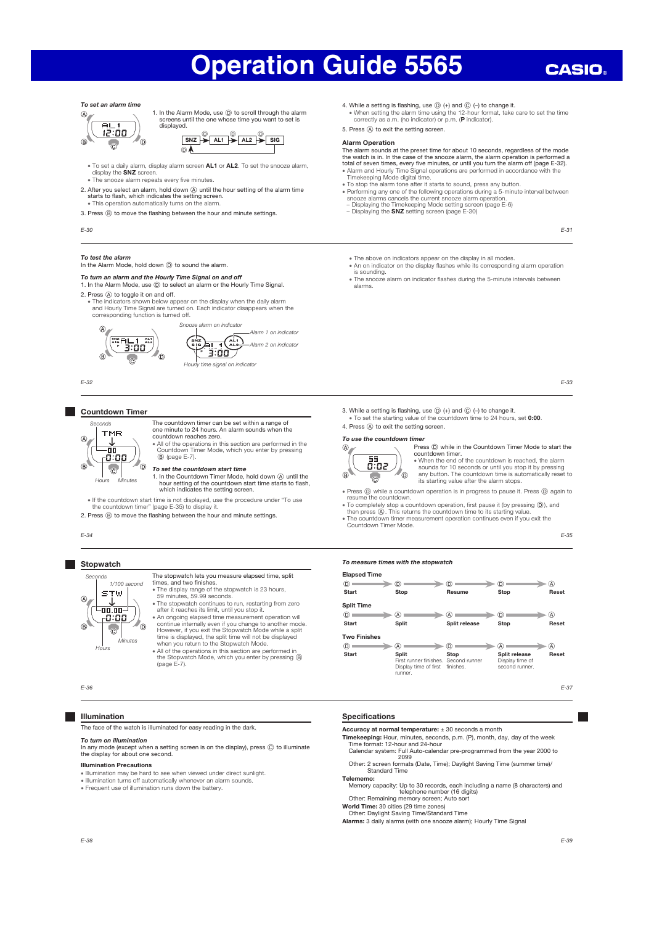#### To set an alarm time



1. In the Alarm Mode, use  $\circled{D}$  to scroll through the alarm screens until the one whose time you want to set is displayed.



- To set a daily alarm, display alarm screen **AL1** or **AL2**. To set the snooze alarm,<br>display the SNZ screen. . The snooze alarm repeats every five minutes.
- 
- 2. After you select an alarm, hold down (A) until the hour setting of the alarm time starts to flash, which indicates the setting screen.<br>• This operation automatically turns on the alarm.
- 
- 3. Press  $\circledR$  to move the flashing between the hour and minute settings.

E-30

#### To test the alarm

#### In the Alarm Mode, hold down  $\textcircled{D}$  to sound the alarm.

#### To turn an alarm and the Hourly Time Signal on and off

### 1. In the Alarm Mode, use (D) to select an alarm or the Hourly Time Signal.

- 2. Press  $\textcircled{A}$  to toggle it on and off.
	- x The indicators shown below appear on the display when the daily alarm and Hourly Time Signal are turned on. Each indicator disappears when the corresponding function is turned off.



E-32

#### Countdown Timer



- The countdown timer can be set within a range of one minute to 24 hours. An alarm sounds when the countdown reaches zero.<br>
\* All of the operations in this section are performed in the<br>
Countdown Timer Mode, which you enter by pressing<br>
(@) (page E-7).
- To set the countdown start time
- 1. In the Countdown Timer Mode, hold down A until the hour setting of the countdown start time starts to flash, which indicates the setting screen.

x If the countdown start time is not displayed, use the procedure under "To use the countdown timer" (page E-35) to display it.

2. Press  $\circledR$  to move the flashing between the hour and minute settings.

E-34

#### **Stopwatch** Seconds

**STW**  $\overline{\phantom{a}}$  or  $\overline{\phantom{a}}$  $-0.00$ 

 $\overline{c}$ 

### The stopwatch lets you measure elapsed time, split times, and two finishes. 1/100 second

- x The display range of the stopwatch is 23 hours, 59 minutes, 59.99 seconds.
- x The stopwatch continues to run, restarting from zero after it reaches its limit, until you stop it. x An ongoing elapsed time measurement operation will  $\sigma$ 
	- continue internally even if you change to another mode<br>However, if you exit the Stopwatch Mode while a split<br>time is displayed, the split time will not be displayed<br>when you return to the Stopwatch Mode.<br>All of the operati

(page E-7).

E-36

- 1

 $\overline{a}$ 

#### Illumination

 $H\alpha$ 

The face of the watch is illuminated for easy reading in the dark.

#### To turn on illumination

Minutes

In any mode (except when a setting screen is on the display), press  $\circledR$  to illuminate the display for about one second.

#### Illumination Precautions

- 
- x Illumination may be hard to see when viewed under direct sunlight. x Illumination turns off automatically whenever an alarm sounds.
- **Frequent use of illumination runs down the battery.**
- 4. While a setting is flashing, use  $(D)$  (+) and  $(D)$  (-) to change it.
- x When setting the alarm time using the 12-hour format, take care to set the time correctly as a.m. (no indicator) or p.m. (P indicator). 5. Press (A) to exit the setting screen.

#### Alarm Operation

The alarm sounds at the preset time for about 10 seconds, regardless of the mode<br>the watch is in. In the case of the snooze alarm, the alarm operation is performed a<br>total of seven times, every five minutes, or until you t x Alarm and Hourly Time Signal operations are performed in accordance with the Timekeeping Mode digital time. x To stop the alarm tone after it starts to sound, press any button.

- 
- Performing any one of the following operations during a 5-minute interval between<br>snooze alarms cancels the current snooze alarm operation.<br>- Displaying the Timekeeping Mode setting screen (page E-6)<br>- Displaying the **SN** 
	-

E-31

- x The above on indicators appear on the display in all modes.
- The above of indicators appear on the display in all modes.<br>• An on indicator on the display flashes while its corresponding alarm operation is sounding.
- . The snooze alarm on indicator flashes during the 5-minute intervals between alarms.

E-33

3. While a setting is flashing, use  $\circledD$  (+) and  $\circledC$  (-) to change it. . To set the starting value of the countdown time to 24 hours, set 0:00

### 4. Press  $\textcircled{A}$  to exit the setting screen.



Countdown Timer Mode.

Press  $\textcircled{\tiny{}}$  while in the Countdown Timer Mode to start the countdown timer.

x When the end of the countdown is reached, the alarm sounds for 10 seconds or until you stop it by pressing any button. The countdown time is automatically reset to its starting value after the alarm stops.

- Press  $\circledD$  while a countdown operation is in progress to pause it. Press  $\circledD$  again to resume the countdown.
- To completely stop a countdown operation, first pause it (by pressing  $(\overline{D})$ ), and then press  $\overline{A}$ ). This returns the countdown time to its starting value.
- . The countdown timer measurement operation continues even if you exit the
	-

E-35

#### To measure times with the stopwatch

| <b>Elapsed Time</b> |                                                  |                                                           |                                                    |       |
|---------------------|--------------------------------------------------|-----------------------------------------------------------|----------------------------------------------------|-------|
| (D)                 | D.                                               | D)                                                        | D.                                                 | A)    |
| Start               | Stop                                             | Resume                                                    | <b>Stop</b>                                        | Reset |
| <b>Split Time</b>   |                                                  |                                                           |                                                    |       |
| $\circledcirc$      | W                                                | (A)                                                       | D)                                                 | A)    |
| <b>Start</b>        | <b>Split</b>                                     | Split release                                             | Stop                                               | Reset |
| <b>Two Finishes</b> |                                                  |                                                           |                                                    |       |
| (D)                 | (A)                                              | D.                                                        | A                                                  | A)    |
| <b>Start</b>        | <b>Split</b><br>Display time of first<br>runner. | Stop<br>First runner finishes. Second runner<br>finishes. | Split release<br>Display time of<br>second runner. | Reset |

E-37

#### Specifications

- Accuracy at normal temperature: ± 30 seconds a month
- 
- **Timekeeping:** Hour, minutes, seconds, p.m. (P), month, day, day of the week<br>Time format: 12-hour and 24-hour<br>Calendar system: Full Auto-calendar pre-programmed from the year 2000 to  $2099$
- Other: 2 screen formats (Date, Time); Daylight Saving Time (summer time)/ Standard Time Telememo:
- Memory capacity: Up to 30 records, each including a name (8 characters) and<br>telephone number (16 digits)<br>Other: Remaining memory screen; Auto sort
- 
- World Time: 30 cities (29 time zones) Other: Daylight Saving Time/Standard Time
- Alarms: 3 daily alarms (with one snooze alarm); Hourly Time Signal